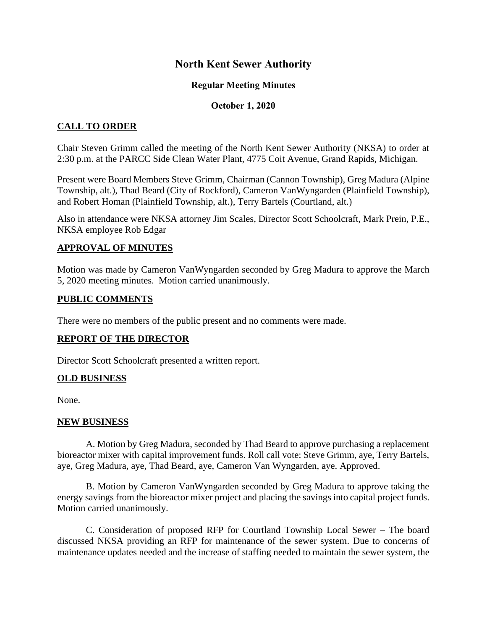# **North Kent Sewer Authority**

### **Regular Meeting Minutes**

### **October 1, 2020**

# **CALL TO ORDER**

Chair Steven Grimm called the meeting of the North Kent Sewer Authority (NKSA) to order at 2:30 p.m. at the PARCC Side Clean Water Plant, 4775 Coit Avenue, Grand Rapids, Michigan.

Present were Board Members Steve Grimm, Chairman (Cannon Township), Greg Madura (Alpine Township, alt.), Thad Beard (City of Rockford), Cameron VanWyngarden (Plainfield Township), and Robert Homan (Plainfield Township, alt.), Terry Bartels (Courtland, alt.)

Also in attendance were NKSA attorney Jim Scales, Director Scott Schoolcraft, Mark Prein, P.E., NKSA employee Rob Edgar

#### **APPROVAL OF MINUTES**

Motion was made by Cameron VanWyngarden seconded by Greg Madura to approve the March 5, 2020 meeting minutes. Motion carried unanimously.

#### **PUBLIC COMMENTS**

There were no members of the public present and no comments were made.

# **REPORT OF THE DIRECTOR**

Director Scott Schoolcraft presented a written report.

#### **OLD BUSINESS**

None.

#### **NEW BUSINESS**

A. Motion by Greg Madura, seconded by Thad Beard to approve purchasing a replacement bioreactor mixer with capital improvement funds. Roll call vote: Steve Grimm, aye, Terry Bartels, aye, Greg Madura, aye, Thad Beard, aye, Cameron Van Wyngarden, aye. Approved.

B. Motion by Cameron VanWyngarden seconded by Greg Madura to approve taking the energy savings from the bioreactor mixer project and placing the savings into capital project funds. Motion carried unanimously.

C. Consideration of proposed RFP for Courtland Township Local Sewer – The board discussed NKSA providing an RFP for maintenance of the sewer system. Due to concerns of maintenance updates needed and the increase of staffing needed to maintain the sewer system, the